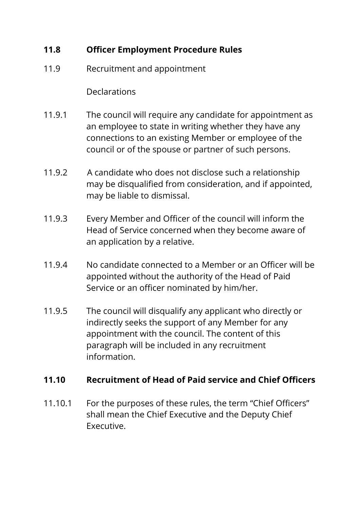## **11.8 Officer Employment Procedure Rules**

11.9 Recruitment and appointment

**Declarations** 

- 11.9.1 The council will require any candidate for appointment as an employee to state in writing whether they have any connections to an existing Member or employee of the council or of the spouse or partner of such persons.
- 11.9.2 A candidate who does not disclose such a relationship may be disqualified from consideration, and if appointed, may be liable to dismissal.
- 11.9.3 Every Member and Officer of the council will inform the Head of Service concerned when they become aware of an application by a relative.
- 11.9.4 No candidate connected to a Member or an Officer will be appointed without the authority of the Head of Paid Service or an officer nominated by him/her.
- 11.9.5 The council will disqualify any applicant who directly or indirectly seeks the support of any Member for any appointment with the council. The content of this paragraph will be included in any recruitment information.

## **11.10 Recruitment of Head of Paid service and Chief Officers**

11.10.1 For the purposes of these rules, the term "Chief Officers" shall mean the Chief Executive and the Deputy Chief Executive.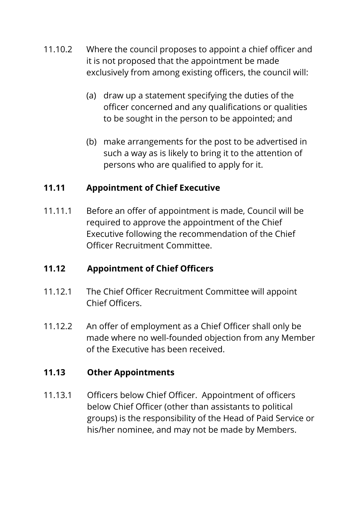- 11.10.2 Where the council proposes to appoint a chief officer and it is not proposed that the appointment be made exclusively from among existing officers, the council will:
	- (a) draw up a statement specifying the duties of the officer concerned and any qualifications or qualities to be sought in the person to be appointed; and
	- (b) make arrangements for the post to be advertised in such a way as is likely to bring it to the attention of persons who are qualified to apply for it.

# **11.11 Appointment of Chief Executive**

11.11.1 Before an offer of appointment is made, Council will be required to approve the appointment of the Chief Executive following the recommendation of the Chief Officer Recruitment Committee.

## **11.12 Appointment of Chief Officers**

- 11.12.1 The Chief Officer Recruitment Committee will appoint Chief Officers.
- 11.12.2 An offer of employment as a Chief Officer shall only be made where no well-founded objection from any Member of the Executive has been received.

## **11.13 Other Appointments**

11.13.1 Officers below Chief Officer. Appointment of officers below Chief Officer (other than assistants to political groups) is the responsibility of the Head of Paid Service or his/her nominee, and may not be made by Members.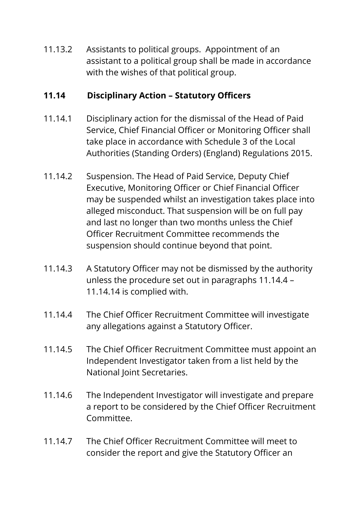11.13.2 Assistants to political groups. Appointment of an assistant to a political group shall be made in accordance with the wishes of that political group.

#### **11.14 Disciplinary Action – Statutory Officers**

- 11.14.1 Disciplinary action for the dismissal of the Head of Paid Service, Chief Financial Officer or Monitoring Officer shall take place in accordance with Schedule 3 of the Local Authorities (Standing Orders) (England) Regulations 2015.
- 11.14.2 Suspension. The Head of Paid Service, Deputy Chief Executive, Monitoring Officer or Chief Financial Officer may be suspended whilst an investigation takes place into alleged misconduct. That suspension will be on full pay and last no longer than two months unless the Chief Officer Recruitment Committee recommends the suspension should continue beyond that point.
- 11.14.3 A Statutory Officer may not be dismissed by the authority unless the procedure set out in paragraphs 11.14.4 – 11.14.14 is complied with.
- 11.14.4 The Chief Officer Recruitment Committee will investigate any allegations against a Statutory Officer.
- 11.14.5 The Chief Officer Recruitment Committee must appoint an Independent Investigator taken from a list held by the National Joint Secretaries.
- 11.14.6 The Independent Investigator will investigate and prepare a report to be considered by the Chief Officer Recruitment Committee.
- 11.14.7 The Chief Officer Recruitment Committee will meet to consider the report and give the Statutory Officer an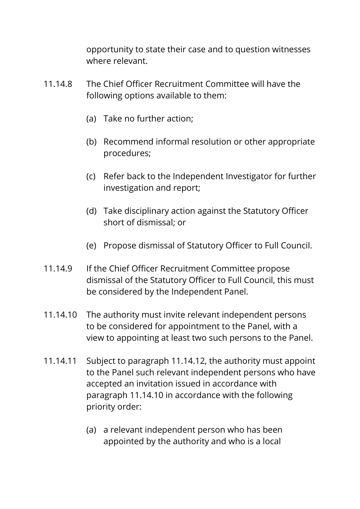opportunity to state their case and to question witnesses where relevant.

- 11.14.8 The Chief Officer Recruitment Committee will have the following options available to them:
	- (a) Take no further action;
	- (b) Recommend informal resolution or other appropriate procedures;
	- (c) Refer back to the Independent Investigator for further investigation and report;
	- (d) Take disciplinary action against the Statutory Officer short of dismissal; or
	- (e) Propose dismissal of Statutory Officer to Full Council.
- 11.14.9 If the Chief Officer Recruitment Committee propose dismissal of the Statutory Officer to Full Council, this must be considered by the Independent Panel.
- 11.14.10 The authority must invite relevant independent persons to be considered for appointment to the Panel, with a view to appointing at least two such persons to the Panel.
- 11.14.11 Subject to paragraph 11.14.12, the authority must appoint to the Panel such relevant independent persons who have accepted an invitation issued in accordance with paragraph 11.14.10 in accordance with the following priority order:
	- (a) a relevant independent person who has been appointed by the authority and who is a local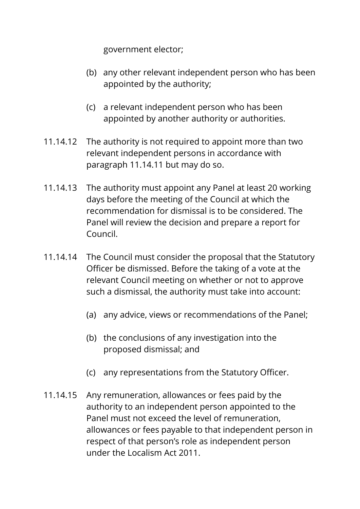government elector;

- (b) any other relevant independent person who has been appointed by the authority;
- (c) a relevant independent person who has been appointed by another authority or authorities.
- 11.14.12 The authority is not required to appoint more than two relevant independent persons in accordance with paragraph 11.14.11 but may do so.
- 11.14.13 The authority must appoint any Panel at least 20 working days before the meeting of the Council at which the recommendation for dismissal is to be considered. The Panel will review the decision and prepare a report for Council.
- 11.14.14 The Council must consider the proposal that the Statutory Officer be dismissed. Before the taking of a vote at the relevant Council meeting on whether or not to approve such a dismissal, the authority must take into account:
	- (a) any advice, views or recommendations of the Panel;
	- (b) the conclusions of any investigation into the proposed dismissal; and
	- (c) any representations from the Statutory Officer.
- 11.14.15 Any remuneration, allowances or fees paid by the authority to an independent person appointed to the Panel must not exceed the level of remuneration, allowances or fees payable to that independent person in respect of that person's role as independent person under the Localism Act 2011.